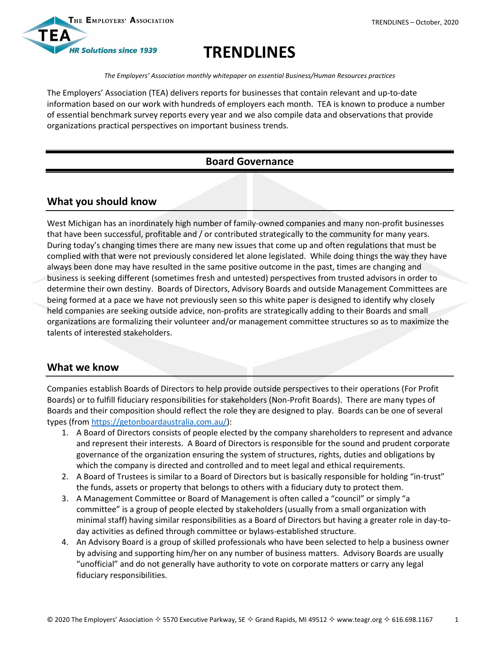

# **TRENDLINES**

*The Employers' Association monthly whitepaper on essential Business/Human Resources practices*

The Employers' Association (TEA) delivers reports for businesses that contain relevant and up-to-date information based on our work with hundreds of employers each month. TEA is known to produce a number of essential benchmark survey reports every year and we also compile data and observations that provide organizations practical perspectives on important business trends.

## **Board Governance**

## **What you should know**

West Michigan has an inordinately high number of family-owned companies and many non-profit businesses that have been successful, profitable and / or contributed strategically to the community for many years. During today's changing times there are many new issues that come up and often regulations that must be complied with that were not previously considered let alone legislated. While doing things the way they have always been done may have resulted in the same positive outcome in the past, times are changing and business is seeking different (sometimes fresh and untested) perspectives from trusted advisors in order to determine their own destiny. Boards of Directors, Advisory Boards and outside Management Committees are being formed at a pace we have not previously seen so this white paper is designed to identify why closely held companies are seeking outside advice, non-profits are strategically adding to their Boards and small organizations are formalizing their volunteer and/or management committee structures so as to maximize the talents of interested stakeholders.

## **What we know**

Companies establish Boards of Directors to help provide outside perspectives to their operations (For Profit Boards) or to fulfill fiduciary responsibilities for stakeholders (Non-Profit Boards). There are many types of Boards and their composition should reflect the role they are designed to play. Boards can be one of several types (from [https://getonboardaustralia.com.au/\)](https://getonboardaustralia.com.au/):

- 1. A Board of Directors consists of people elected by the company shareholders to represent and advance and represent their interests. A Board of Directors is responsible for the sound and prudent corporate governance of the organization ensuring the system of structures, rights, duties and obligations by which the company is directed and controlled and to meet legal and ethical requirements.
- 2. A Board of Trustees is similar to a Board of Directors but is basically responsible for holding "in-trust" the funds, assets or property that belongs to others with a fiduciary duty to protect them.
- 3. A Management Committee or Board of Management is often called a "council" or simply "a committee" is a group of people elected by stakeholders (usually from a small organization with minimal staff) having similar responsibilities as a Board of Directors but having a greater role in day-today activities as defined through committee or bylaws-established structure.
- 4. An Advisory Board is a group of skilled professionals who have been selected to help a business owner by advising and supporting him/her on any number of business matters. Advisory Boards are usually "unofficial" and do not generally have authority to vote on corporate matters or carry any legal fiduciary responsibilities.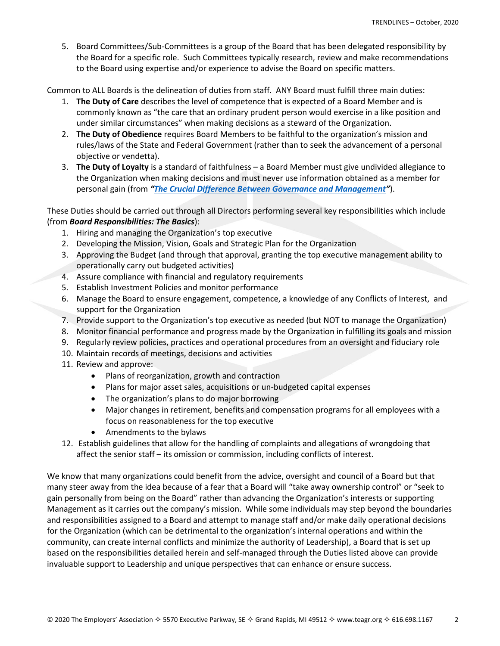5. Board Committees/Sub-Committees is a group of the Board that has been delegated responsibility by the Board for a specific role. Such Committees typically research, review and make recommendations to the Board using expertise and/or experience to advise the Board on specific matters.

Common to ALL Boards is the delineation of duties from staff. ANY Board must fulfill three main duties:

- 1. **The Duty of Care** describes the level of competence that is expected of a Board Member and is commonly known as "the care that an ordinary prudent person would exercise in a like position and under similar circumstances" when making decisions as a steward of the Organization.
- 2. **The Duty of Obedience** requires Board Members to be faithful to the organization's mission and rules/laws of the State and Federal Government (rather than to seek the advancement of a personal objective or vendetta).
- 3. **The Duty of Loyalty** is a standard of faithfulness a Board Member must give undivided allegiance to the Organization when making decisions and must never use information obtained as a member for personal gain (from *"[The Crucial Difference Between Governance and Management](https://www.inphilanthropy.org/sites/default/files/resources/Crucial%20Difference%20Between%20Governance%20%26%20Management-AKT%20LLP-2011.pdf)"*).

These Duties should be carried out through all Directors performing several key responsibilities which include (from *Board Responsibilities: The Basics*):

- 1. Hiring and managing the Organization's top executive
- 2. Developing the Mission, Vision, Goals and Strategic Plan for the Organization
- 3. Approving the Budget (and through that approval, granting the top executive management ability to operationally carry out budgeted activities)
- 4. Assure compliance with financial and regulatory requirements
- 5. Establish Investment Policies and monitor performance
- 6. Manage the Board to ensure engagement, competence, a knowledge of any Conflicts of Interest, and support for the Organization
- 7. Provide support to the Organization's top executive as needed (but NOT to manage the Organization)
- 8. Monitor financial performance and progress made by the Organization in fulfilling its goals and mission
- 9. Regularly review policies, practices and operational procedures from an oversight and fiduciary role
- 10. Maintain records of meetings, decisions and activities
- 11. Review and approve:
	- Plans of reorganization, growth and contraction
	- Plans for major asset sales, acquisitions or un-budgeted capital expenses
	- The organization's plans to do major borrowing
	- Major changes in retirement, benefits and compensation programs for all employees with a focus on reasonableness for the top executive
	- Amendments to the bylaws
- 12. Establish guidelines that allow for the handling of complaints and allegations of wrongdoing that affect the senior staff – its omission or commission, including conflicts of interest.

We know that many organizations could benefit from the advice, oversight and council of a Board but that many steer away from the idea because of a fear that a Board will "take away ownership control" or "seek to gain personally from being on the Board" rather than advancing the Organization's interests or supporting Management as it carries out the company's mission. While some individuals may step beyond the boundaries and responsibilities assigned to a Board and attempt to manage staff and/or make daily operational decisions for the Organization (which can be detrimental to the organization's internal operations and within the community, can create internal conflicts and minimize the authority of Leadership), a Board that is set up based on the responsibilities detailed herein and self-managed through the Duties listed above can provide invaluable support to Leadership and unique perspectives that can enhance or ensure success.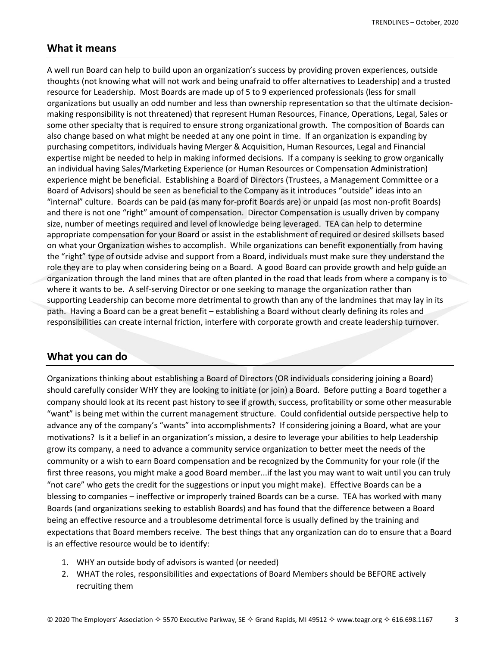#### **What it means**

A well run Board can help to build upon an organization's success by providing proven experiences, outside thoughts (not knowing what will not work and being unafraid to offer alternatives to Leadership) and a trusted resource for Leadership. Most Boards are made up of 5 to 9 experienced professionals (less for small organizations but usually an odd number and less than ownership representation so that the ultimate decisionmaking responsibility is not threatened) that represent Human Resources, Finance, Operations, Legal, Sales or some other specialty that is required to ensure strong organizational growth. The composition of Boards can also change based on what might be needed at any one point in time. If an organization is expanding by purchasing competitors, individuals having Merger & Acquisition, Human Resources, Legal and Financial expertise might be needed to help in making informed decisions. If a company is seeking to grow organically an individual having Sales/Marketing Experience (or Human Resources or Compensation Administration) experience might be beneficial. Establishing a Board of Directors (Trustees, a Management Committee or a Board of Advisors) should be seen as beneficial to the Company as it introduces "outside" ideas into an "internal" culture. Boards can be paid (as many for-profit Boards are) or unpaid (as most non-profit Boards) and there is not one "right" amount of compensation. Director Compensation is usually driven by company size, number of meetings required and level of knowledge being leveraged. TEA can help to determine appropriate compensation for your Board or assist in the establishment of required or desired skillsets based on what your Organization wishes to accomplish. While organizations can benefit exponentially from having the "right" type of outside advise and support from a Board, individuals must make sure they understand the role they are to play when considering being on a Board. A good Board can provide growth and help guide an organization through the land mines that are often planted in the road that leads from where a company is to where it wants to be. A self-serving Director or one seeking to manage the organization rather than supporting Leadership can become more detrimental to growth than any of the landmines that may lay in its path. Having a Board can be a great benefit – establishing a Board without clearly defining its roles and responsibilities can create internal friction, interfere with corporate growth and create leadership turnover.

### **What you can do**

Organizations thinking about establishing a Board of Directors (OR individuals considering joining a Board) should carefully consider WHY they are looking to initiate (or join) a Board. Before putting a Board together a company should look at its recent past history to see if growth, success, profitability or some other measurable "want" is being met within the current management structure. Could confidential outside perspective help to advance any of the company's "wants" into accomplishments? If considering joining a Board, what are your motivations? Is it a belief in an organization's mission, a desire to leverage your abilities to help Leadership grow its company, a need to advance a community service organization to better meet the needs of the community or a wish to earn Board compensation and be recognized by the Community for your role (if the first three reasons, you might make a good Board member...if the last you may want to wait until you can truly "not care" who gets the credit for the suggestions or input you might make). Effective Boards can be a blessing to companies – ineffective or improperly trained Boards can be a curse. TEA has worked with many Boards (and organizations seeking to establish Boards) and has found that the difference between a Board being an effective resource and a troublesome detrimental force is usually defined by the training and expectations that Board members receive. The best things that any organization can do to ensure that a Board is an effective resource would be to identify:

- 1. WHY an outside body of advisors is wanted (or needed)
- 2. WHAT the roles, responsibilities and expectations of Board Members should be BEFORE actively recruiting them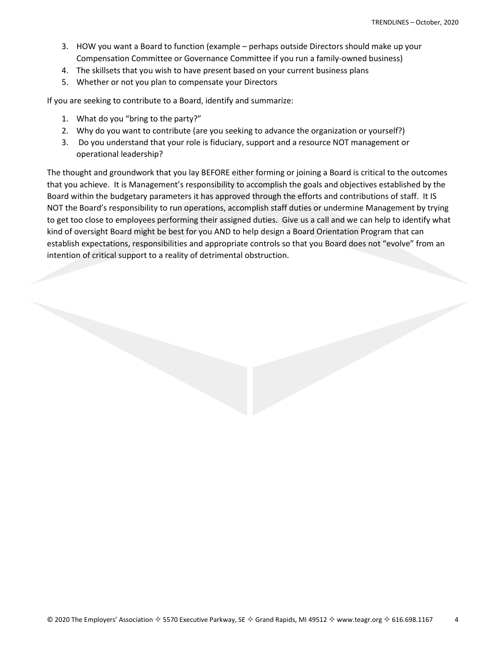- 3. HOW you want a Board to function (example perhaps outside Directors should make up your Compensation Committee or Governance Committee if you run a family-owned business)
- 4. The skillsets that you wish to have present based on your current business plans
- 5. Whether or not you plan to compensate your Directors

If you are seeking to contribute to a Board, identify and summarize:

- 1. What do you "bring to the party?"
- 2. Why do you want to contribute (are you seeking to advance the organization or yourself?)
- 3. Do you understand that your role is fiduciary, support and a resource NOT management or operational leadership?

The thought and groundwork that you lay BEFORE either forming or joining a Board is critical to the outcomes that you achieve. It is Management's responsibility to accomplish the goals and objectives established by the Board within the budgetary parameters it has approved through the efforts and contributions of staff. It IS NOT the Board's responsibility to run operations, accomplish staff duties or undermine Management by trying to get too close to employees performing their assigned duties. Give us a call and we can help to identify what kind of oversight Board might be best for you AND to help design a Board Orientation Program that can establish expectations, responsibilities and appropriate controls so that you Board does not "evolve" from an intention of critical support to a reality of detrimental obstruction.